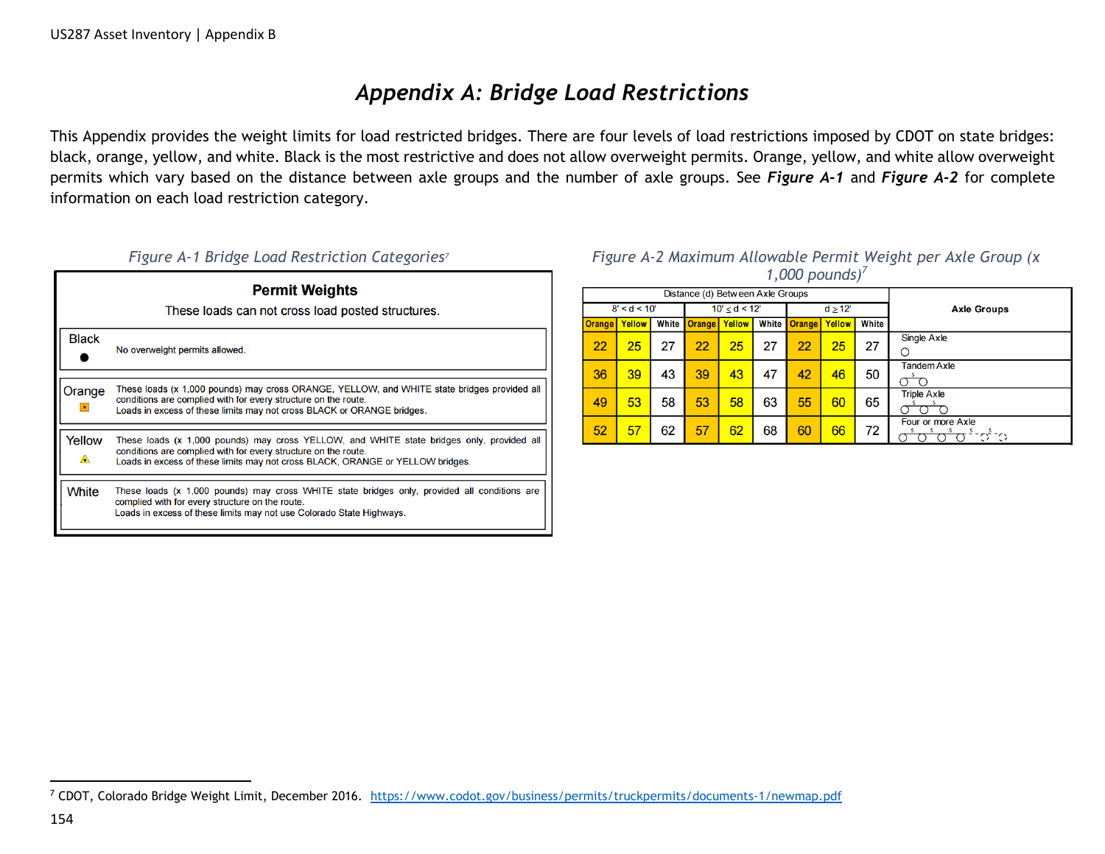## *Appendix A: Bridge Load Restrictions*

This Appendix provides the weight limits for load restricted bridges. There are four levels of load restrictions imposed by CDOT on state bridges: black, orange, yellow, and white. Black is the most restrictive and does not allow overweight permits. Orange, yellow, and white allow overweight permits which vary based on the distance between axle groups and the number of axle groups. See *Figure A-1* and *Figure A-2* for complete information on each load restriction category.

| <b>Permit Weights</b><br>These loads can not cross load posted structures. |                                                                                                                                                                                                                                               |  |  |  |  |  |  |  |  |
|----------------------------------------------------------------------------|-----------------------------------------------------------------------------------------------------------------------------------------------------------------------------------------------------------------------------------------------|--|--|--|--|--|--|--|--|
| <b>Black</b>                                                               | No overweight permits allowed.                                                                                                                                                                                                                |  |  |  |  |  |  |  |  |
| Orange<br>$\bullet$                                                        | These loads (x 1,000 pounds) may cross ORANGE, YELLOW, and WHITE state bridges provided all<br>conditions are complied with for every structure on the route.<br>Loads in excess of these limits may not cross BLACK or ORANGE bridges.       |  |  |  |  |  |  |  |  |
| Yellow<br>▲                                                                | These loads (x 1,000 pounds) may cross YELLOW, and WHITE state bridges only, provided all<br>conditions are complied with for every structure on the route.<br>Loads in excess of these limits may not cross BLACK, ORANGE or YELLOW bridges. |  |  |  |  |  |  |  |  |
| <b>White</b>                                                               | These loads (x 1,000 pounds) may cross WHITE state bridges only, provided all conditions are<br>complied with for every structure on the route.<br>Loads in excess of these limits may not use Colorado State Highways.                       |  |  |  |  |  |  |  |  |

### *Figure A-1 Bridge Load Restriction Categories<sup>7</sup> Figure A-2 Maximum Allowable Permit Weight per Axle Group (x 1,000 pounds)<sup>7</sup>*

| Distance (d) Between Axle Groups |        |       |               |        |       |               |        |       |                                              |
|----------------------------------|--------|-------|---------------|--------|-------|---------------|--------|-------|----------------------------------------------|
| 8' < d < 10'                     |        |       | 10' < d < 12' |        |       | $d \geq 12$   |        |       | <b>Axle Groups</b>                           |
| <b>Orange</b>                    | Yellow | White | <b>Orange</b> | Yellow | White | <b>Orange</b> | Yellow | White |                                              |
| 22                               | 25     | 27    | 22            | 25     | 27    | 22            | 25     | 27    | Single Axle<br>Ο                             |
| 36                               | 39     | 43    | 39            | 43     | 47    | 42            | 46     | 50    | <b>Tandem Axle</b>                           |
| 49                               | 53     | 58    | 53            | 58     | 63    | 55            | 60     | 65    | <b>Triple Axle</b>                           |
| 52                               | 57     | 62    | 57            | 62     | 68    | 60            | 66     | 72    | Four or more Axle<br>s<br>s<br>s<br>できつ<br>s |

 $\overline{\phantom{a}}$ <sup>7</sup> CDOT, Colorado Bridge Weight Limit, December 2016. <https://www.codot.gov/business/permits/truckpermits/documents-1/newmap.pdf>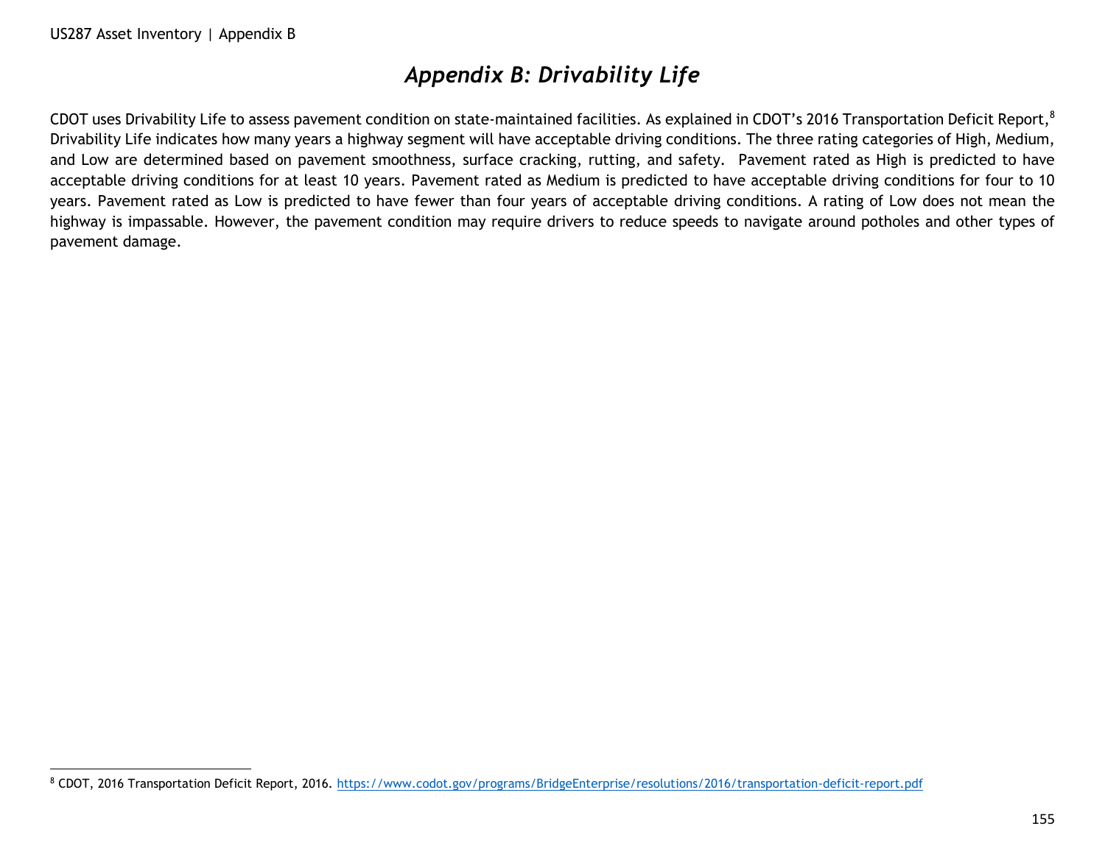$\overline{a}$ 

# *Appendix B: Drivability Life*

CDOT uses Drivability Life to assess pavement condition on state-maintained facilities. As explained in CDOT's 2016 Transportation Deficit Report,<sup>8</sup> Drivability Life indicates how many years a highway segment will have acceptable driving conditions. The three rating categories of High, Medium, and Low are determined based on pavement smoothness, surface cracking, rutting, and safety. Pavement rated as High is predicted to have acceptable driving conditions for at least 10 years. Pavement rated as Medium is predicted to have acceptable driving conditions for four to 10 years. Pavement rated as Low is predicted to have fewer than four years of acceptable driving conditions. A rating of Low does not mean the highway is impassable. However, the pavement condition may require drivers to reduce speeds to navigate around potholes and other types of pavement damage.

<sup>8</sup> CDOT, 2016 Transportation Deficit Report, 2016.<https://www.codot.gov/programs/BridgeEnterprise/resolutions/2016/transportation-deficit-report.pdf>